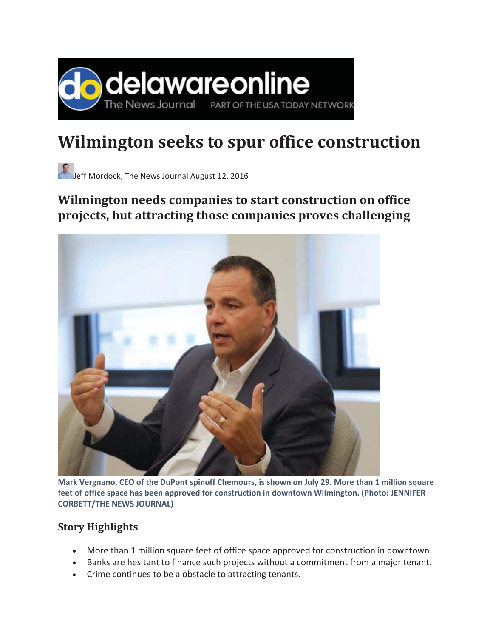

## **Wilmington seeks to spur office construction**

Jeff Mordock, The News Journal August 12, 2016

## **Wilmington needs companies to start construction on office projects, but attracting those companies proves challenging**



**Mark Vergnano, CEO of the DuPont spinoff Chemours, is shown on July 29. More than 1 million square feet of office space has been approved for construction in downtown Wilmington. (Photo: JENNIFER CORBETT/THE NEWS JOURNAL)**

## **Story Highlights**

- More than 1 million square feet of office space approved for construction in downtown.
- **•** Banks are hesitant to finance such projects without a commitment from a major tenant.
- Crime continues to be a obstacle to attracting tenants.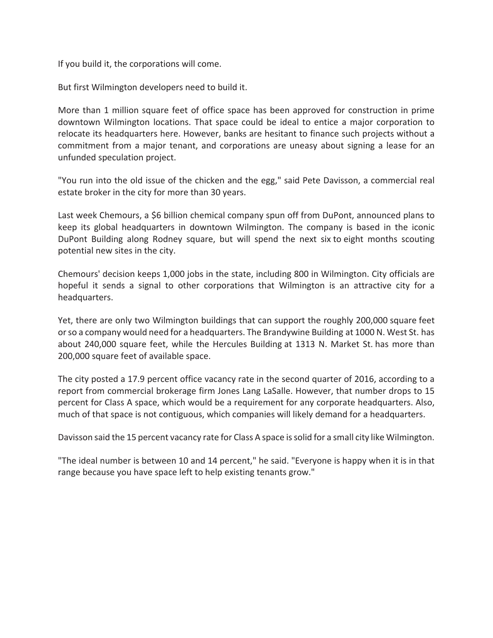If you build it, the corporations will come.

But first Wilmington developers need to build it.

More than 1 million square feet of office space has been approved for construction in prime downtown Wilmington locations. That space could be ideal to entice a major corporation to relocate its headquarters here. However, banks are hesitant to finance such projects without a commitment from a major tenant, and corporations are uneasy about signing a lease for an unfunded speculation project.

"You run into the old issue of the chicken and the egg," said Pete Davisson, a commercial real estate broker in the city for more than 30 years.

Last week Chemours, a \$6 billion chemical company spun off from DuPont, announced plans to keep its global headquarters in downtown Wilmington. The company is based in the iconic DuPont Building along Rodney square, but will spend the next six to eight months scouting potential new sites in the city.

Chemours' decision keeps 1,000 jobs in the state, including 800 in Wilmington. City officials are hopeful it sends a signal to other corporations that Wilmington is an attractive city for a headquarters.

Yet, there are only two Wilmington buildings that can support the roughly 200,000 square feet or so a company would need for a headquarters. The Brandywine Building at 1000 N. West St. has about 240,000 square feet, while the Hercules Building at 1313 N. Market St. has more than 200,000 square feet of available space.

The city posted a 17.9 percent office vacancy rate in the second quarter of 2016, according to a report from commercial brokerage firm Jones Lang LaSalle. However, that number drops to 15 percent for Class A space, which would be a requirement for any corporate headquarters. Also, much of that space is not contiguous, which companies will likely demand for a headquarters.

Davisson said the 15 percent vacancy rate for Class A space issolid for a small city like Wilmington.

"The ideal number is between 10 and 14 percent," he said. "Everyone is happy when it is in that range because you have space left to help existing tenants grow."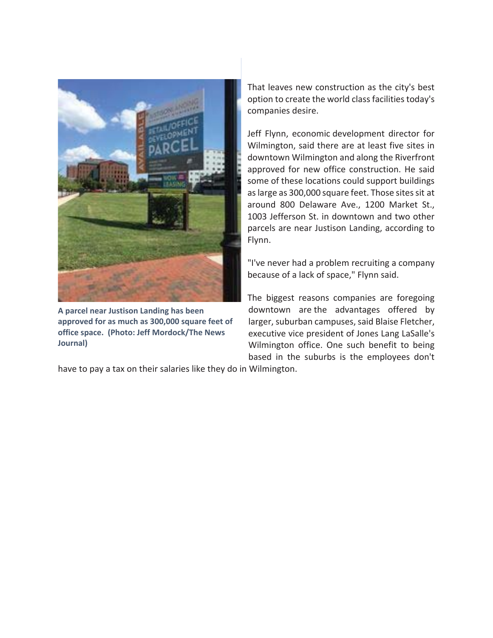

**A parcel near Justison Landing has been approved for as much as 300,000 square feet of office space.(Photo: Jeff Mordock/The News Journal)**

That leaves new construction as the city's best option to create the world class facilities today's companies desire.

Jeff Flynn, economic development director for Wilmington, said there are at least five sites in downtown Wilmington and along the Riverfront approved for new office construction. He said some of these locations could support buildings as large as 300,000 square feet. Those sites sit at around 800 Delaware Ave., 1200 Market St., 1003 Jefferson St. in downtown and two other parcels are near Justison Landing, according to Flynn.

"I've never had a problem recruiting a company because of a lack of space," Flynn said.

The biggest reasons companies are foregoing downtown are the advantages offered by larger, suburban campuses, said Blaise Fletcher, executive vice president of Jones Lang LaSalle's Wilmington office. One such benefit to being based in the suburbs is the employees don't

have to pay a tax on their salaries like they do in Wilmington.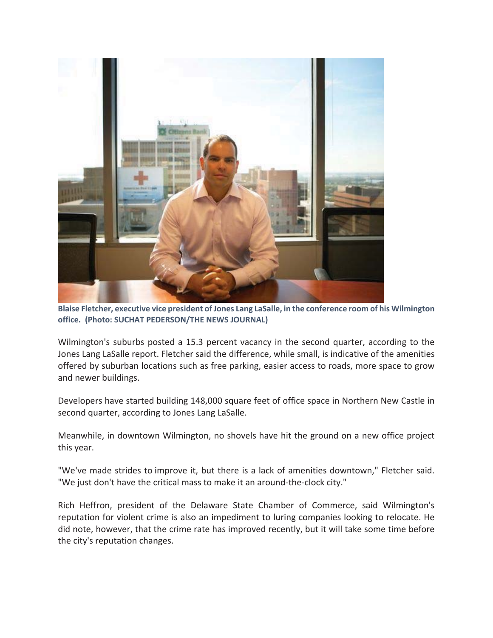

**Blaise Fletcher, executive vice president of Jones Lang LaSalle, in the conference room of his Wilmington office.(Photo: SUCHAT PEDERSON/THE NEWS JOURNAL)**

Wilmington's suburbs posted a 15.3 percent vacancy in the second quarter, according to the Jones Lang LaSalle report. Fletcher said the difference, while small, is indicative of the amenities offered by suburban locations such as free parking, easier access to roads, more space to grow and newer buildings.

Developers have started building 148,000 square feet of office space in Northern New Castle in second quarter, according to Jones Lang LaSalle.

Meanwhile, in downtown Wilmington, no shovels have hit the ground on a new office project this year.

"We've made strides to improve it, but there is a lack of amenities downtown," Fletcher said. "We just don't have the critical mass to make it an around-the-clock city."

Rich Heffron, president of the Delaware State Chamber of Commerce, said Wilmington's reputation for violent crime is also an impediment to luring companies looking to relocate. He did note, however, that the crime rate has improved recently, but it will take some time before the city's reputation changes.